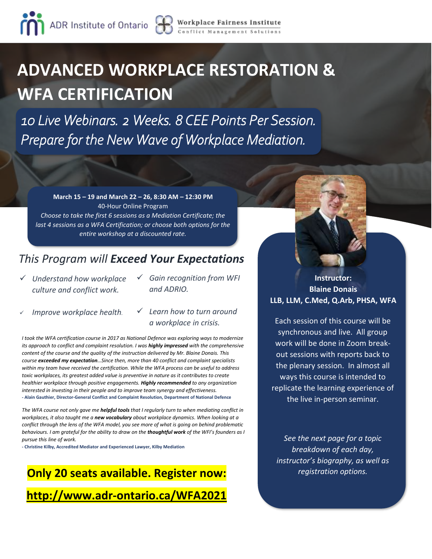# **ADVANCED WORKPLACE RESTORATION & WFA CERTIFICATION**

*10 Live Webinars. 2 Weeks. 8 CEE Points Per Session. Prepare for the New Wave of Workplace Mediation.* 

**March 15 – 19 and March 22 – 26, 8:30 AM – 12:30 PM** 40-Hour Online Program *Choose to take the first 6 sessions as a Mediation Certificate; the last 4 sessions as a WFA Certification; or choose both options for the entire workshop at a discounted rate.*

## *This Program will Exceed Your Expectations*

- ✓ *Understand how workplace culture and conflict work.*
- ✓ *Gain recognition from WFI and ADRIO.*
- ✓ *Improve workplace health.*
- ✓ *Learn how to turn around a workplace in crisis.*

*I took the WFA certification course in 2017 as National Defence was exploring ways to modernize its approach to conflict and complaint resolution. I was highly impressed with the comprehensive content of the course and the quality of the instruction delivered by Mr. Blaine Donais. This course exceeded my expectation…Since then, more than 40 conflict and complaint specialists within my team have received the certification. While the WFA process can be useful to address toxic workplaces, its greatest added value is preventive in nature as it contributes to create healthier workplace through positive engagements. Highly recommended to any organization interested in investing in their people and to improve team synergy and effectiveness. -* **Alain Gauthier, Director-General Conflict and Complaint Resolution, Department of National Defence**

*The WFA course not only gave me helpful tools that I regularly turn to when mediating conflict in workplaces, it also taught me a new vocabulary about workplace dynamics. When looking at a conflict through the lens of the WFA model, you see more of what is going on behind problematic behaviours. I am grateful for the ability to draw on the thoughtful work of the WFI's founders as I pursue this line of work.*

**- Christine Kilby, Accredited Mediator and Experienced Lawyer, Kilby Mediation**

## **Only 20 seats available. Register now: <http://www.adr-ontario.ca/WFA2021>**

### **Instructor: Blaine Donais LLB, LLM, C.Med, Q.Arb, PHSA, WFA**

Each session of this course will be synchronous and live. All group work will be done in Zoom breakout sessions with reports back to the plenary session. In almost all ways this course is intended to replicate the learning experience of the live in-person seminar.

*See the next page for a topic breakdown of each day, instructor's biography, as well as registration options.*